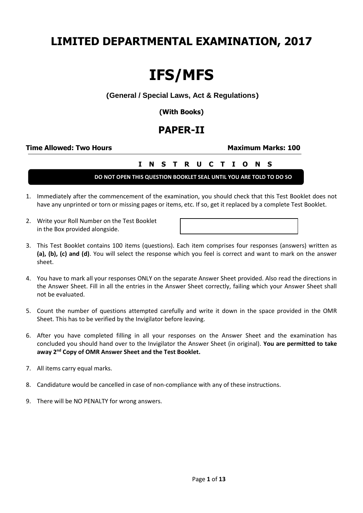# **LIMITED DEPARTMENTAL EXAMINATION, 2017**

# **IFS/MFS**

#### **(General / Special Laws, Act & Regulations)**

**(With Books)**

## **PAPER-II**

#### **Time Allowed: Two Hours**  Maximum Marks: 100

### **I N S T R U C T I O N S**

**DO NOT OPEN THIS QUESTION BOOKLET SEAL UNTIL YOU ARE TOLD TO DO SO**

- 1. Immediately after the commencement of the examination, you should check that this Test Booklet does not have any unprinted or torn or missing pages or items, etc. If so, get it replaced by a complete Test Booklet.
- 2. Write your Roll Number on the Test Booklet in the Box provided alongside.



- 3. This Test Booklet contains 100 items (questions). Each item comprises four responses (answers) written as **(a), (b), (c) and (d)**. You will select the response which you feel is correct and want to mark on the answer sheet.
- 4. You have to mark all your responses ONLY on the separate Answer Sheet provided. Also read the directions in the Answer Sheet. Fill in all the entries in the Answer Sheet correctly, failing which your Answer Sheet shall not be evaluated.
- 5. Count the number of questions attempted carefully and write it down in the space provided in the OMR Sheet. This has to be verified by the Invigilator before leaving.
- 6. After you have completed filling in all your responses on the Answer Sheet and the examination has concluded you should hand over to the Invigilator the Answer Sheet (in original). **You are permitted to take away 2nd Copy of OMR Answer Sheet and the Test Booklet.**
- 7. All items carry equal marks.
- 8. Candidature would be cancelled in case of non-compliance with any of these instructions.
- 9. There will be NO PENALTY for wrong answers.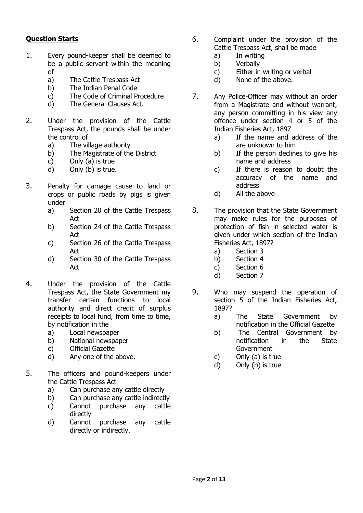#### **Question Starts**

- 1. Every pound-keeper shall be deemed to be a public servant within the meaning of
	- a) The Cattle Trespass Act
	- b) The Indian Penal Code
	- c) The Code of Criminal Procedure
	- d) The General Clauses Act.
- 2. Under the provision of the Cattle Trespass Act, the pounds shall be under the control of
	- a) The village authority
	- b) The Magistrate of the District
	- c) Only (a) is true
	- d) Only (b) is true.
- 3. Penalty for damage cause to land or crops or public roads by pigs is given under
	- a) Section 20 of the Cattle Trespass Act
	- b) Section 24 of the Cattle Trespass Act
	- c) Section 26 of the Cattle Trespass Act
	- d) Section 30 of the Cattle Trespass Act
- 4. Under the provision of the Cattle Trespass Act, the State Government my transfer certain functions to local authority and direct credit of surplus receipts to local fund, from time to time, by notification in the
	- a) Local newspaper
	- b) National newspaper
	- c) Official Gazette
	- d) Any one of the above.
- 5. The officers and pound-keepers under the Cattle Trespass Act
	- a) Can purchase any cattle directly
	- b) Can purchase any cattle indirectly
	- c) Cannot purchase any cattle directly
	- d) Cannot purchase any cattle directly or indirectly.
- 6. Complaint under the provision of the Cattle Trespass Act, shall be made
	- a) In writing
	- b) Verbally
	- c) Either in writing or verbal
	- d) None of the above.
- 7. Any Police-Officer may without an order from a Magistrate and without warrant, any person committing in his view any offence under section 4 or 5 of the Indian Fisheries Act, 1897
	- a) If the name and address of the are unknown to him
	- b) If the person declines to give his name and address
	- c) If there is reason to doubt the accuracy of the name and address
	- d) All the above
- 8. The provision that the State Government may make rules for the purposes of protection of fish in selected water is given under which section of the Indian Fisheries Act, 1897?
	- a) Section 3
	- b) Section 4
	- c) Section 6
	- d) Section 7
- 9. Who may suspend the operation of section 5 of the Indian Fisheries Act, 1897?
	- a) The State Government by notification in the Official Gazette
	- b) The Central Government by notification in the State **Government**
	- c) Only (a) is true
	- d) Only (b) is true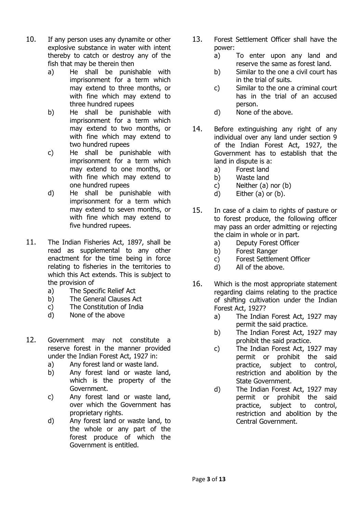- 10. If any person uses any dynamite or other explosive substance in water with intent thereby to catch or destroy any of the fish that may be therein then
	- a) He shall be punishable with imprisonment for a term which may extend to three months, or with fine which may extend to three hundred rupees
	- b) He shall be punishable with imprisonment for a term which may extend to two months, or with fine which may extend to two hundred rupees
	- c) He shall be punishable with imprisonment for a term which may extend to one months, or with fine which may extend to one hundred rupees
	- d) He shall be punishable with imprisonment for a term which may extend to seven months, or with fine which may extend to five hundred rupees.
- 11. The Indian Fisheries Act, 1897, shall be read as supplemental to any other enactment for the time being in force relating to fisheries in the territories to which this Act extends. This is subject to the provision of
	- a) The Specific Relief Act
	- b) The General Clauses Act
	- c) The Constitution of India
	- d) None of the above
- 12. Government may not constitute a reserve forest in the manner provided under the Indian Forest Act, 1927 in:
	- a) Any forest land or waste land.
	- b) Any forest land or waste land, which is the property of the Government.
	- c) Any forest land or waste land, over which the Government has proprietary rights.
	- d) Any forest land or waste land, to the whole or any part of the forest produce of which the Government is entitled.
- 13. Forest Settlement Officer shall have the power:
	- a) To enter upon any land and reserve the same as forest land.
	- b) Similar to the one a civil court has in the trial of suits.
	- c) Similar to the one a criminal court has in the trial of an accused person.
	- d) None of the above.
- 14. Before extinguishing any right of any individual over any land under section 9 of the Indian Forest Act, 1927, the Government has to establish that the land in dispute is a:
	- a) Forest land
	- b) Waste land
	- c) Neither (a) nor (b)
	- d) Either (a) or (b).
- 15. In case of a claim to rights of pasture or to forest produce, the following officer may pass an order admitting or rejecting the claim in whole or in part.
	- a) Deputy Forest Officer
	- b) Forest Ranger
	- c) Forest Settlement Officer
	- d) All of the above.
- 16. Which is the most appropriate statement regarding claims relating to the practice of shifting cultivation under the Indian Forest Act, 1927?
	- a) The Indian Forest Act, 1927 may permit the said practice.
	- b) The Indian Forest Act, 1927 may prohibit the said practice.
	- c) The Indian Forest Act, 1927 may permit or prohibit the said practice, subject to control, restriction and abolition by the State Government.
	- d) The Indian Forest Act, 1927 may permit or prohibit the said practice, subject to control, restriction and abolition by the Central Government.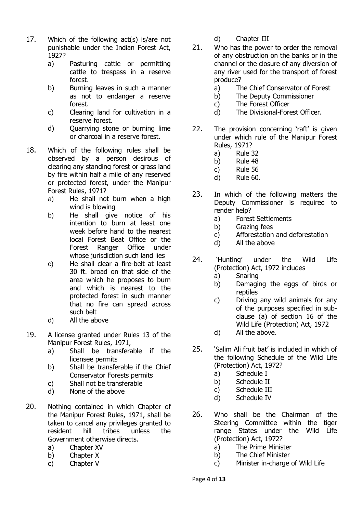- 17. Which of the following act(s) is/are not punishable under the Indian Forest Act, 1927?
	- a) Pasturing cattle or permitting cattle to trespass in a reserve forest.
	- b) Burning leaves in such a manner as not to endanger a reserve forest.
	- c) Clearing land for cultivation in a reserve forest.
	- d) Quarrying stone or burning lime or charcoal in a reserve forest.
- 18. Which of the following rules shall be observed by a person desirous of clearing any standing forest or grass land by fire within half a mile of any reserved or protected forest, under the Manipur Forest Rules, 1971?
	- a) He shall not burn when a high wind is blowing
	- b) He shall give notice of his intention to burn at least one week before hand to the nearest local Forest Beat Office or the Forest Ranger Office under whose jurisdiction such land lies
	- c) He shall clear a fire-belt at least 30 ft. broad on that side of the area which he proposes to burn and which is nearest to the protected forest in such manner that no fire can spread across such belt
	- d) All the above
- 19. A license granted under Rules 13 of the Manipur Forest Rules, 1971,
	- a) Shall be transferable if the licensee permits
	- b) Shall be transferable if the Chief Conservator Forests permits
	- c) Shall not be transferable
	- d) None of the above
- 20. Nothing contained in which Chapter of the Manipur Forest Rules, 1971, shall be taken to cancel any privileges granted to resident hill tribes unless the Government otherwise directs.
	- a) Chapter XV
	- b) Chapter X
	- c) Chapter V
- d) Chapter III
- 21. Who has the power to order the removal of any obstruction on the banks or in the channel or the closure of any diversion of any river used for the transport of forest produce?
	- a) The Chief Conservator of Forest
	- b) The Deputy Commissioner
	- c) The Forest Officer
	- d) The Divisional-Forest Officer.
- 22. The provision concerning 'raft' is given under which rule of the Manipur Forest Rules, 1971?
	- a) Rule 32
	- b) Rule 48
	- c) Rule 56
	- d) Rule 60.
- 23. In which of the following matters the Deputy Commissioner is required to render help?
	- a) Forest Settlements
	- b) Grazing fees
	- c) Afforestation and deforestation
	- d) All the above
- 24. 'Hunting' under the Wild Life (Protection) Act, 1972 includes
	- a) Snaring
	- b) Damaging the eggs of birds or reptiles
	- c) Driving any wild animals for any of the purposes specified in subclause (a) of section 16 of the Wild Life (Protection) Act, 1972
	- d) All the above.
- 25. 'Salim Ali fruit bat' is included in which of the following Schedule of the Wild Life (Protection) Act, 1972?
	- a) Schedule I
	- b) Schedule II
	- c) Schedule III
	- d) Schedule IV
- 26. Who shall be the Chairman of the Steering Committee within the tiger range States under the Wild Life (Protection) Act, 1972?
	- a) The Prime Minister
	- b) The Chief Minister
	- c) Minister in-charge of Wild Life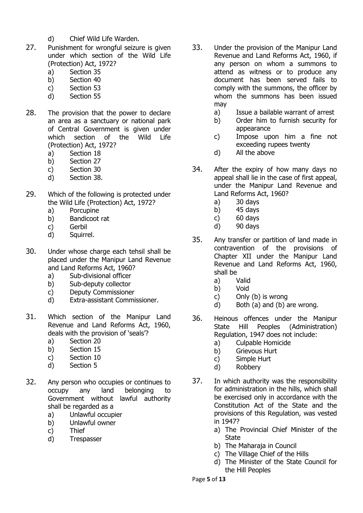- d) Chief Wild Life Warden.
- 27. Punishment for wrongful seizure is given under which section of the Wild Life (Protection) Act, 1972?
	- a) Section 35
	- b) Section 40
	- c) Section 53
	- d) Section 55
- 28. The provision that the power to declare an area as a sanctuary or national park of Central Government is given under which section of the Wild Life (Protection) Act, 1972?
	- a) Section 18
	- b) Section 27
	- c) Section 30
	- d) Section 38.
- 29. Which of the following is protected under the Wild Life (Protection) Act, 1972?
	- a) Porcupine
	- b) Bandicoot rat
	- c) Gerbil
	- d) Squirrel.
- 30. Under whose charge each tehsil shall be placed under the Manipur Land Revenue and Land Reforms Act, 1960?
	- a) Sub-divisional officer
	- b) Sub-deputy collector
	- c) Deputy Commissioner
	- d) Extra-assistant Commissioner.
- 31. Which section of the Manipur Land Revenue and Land Reforms Act, 1960, deals with the provision of 'seals'?
	- a) Section 20
	- b) Section 15
	- c) Section 10
	- d) Section 5
- 32. Any person who occupies or continues to occupy any land belonging to Government without lawful authority shall be regarded as a
	- a) Unlawful occupier
	- b) Unlawful owner
	- c) Thief
	- d) Trespasser
- 33. Under the provision of the Manipur Land Revenue and Land Reforms Act, 1960, if any person on whom a summons to attend as witness or to produce any document has been served fails to comply with the summons, the officer by whom the summons has been issued may
	- a) Issue a bailable warrant of arrest
	- b) Order him to furnish security for appearance
	- c) Impose upon him a fine not exceeding rupees twenty
	- d) All the above
- 34. After the expiry of how many days no appeal shall lie in the case of first appeal, under the Manipur Land Revenue and Land Reforms Act, 1960?
	- a) 30 days
	- b) 45 days
	- c) 60 days
	- d) 90 days
- 35. Any transfer or partition of land made in contravention of the provisions of Chapter XII under the Manipur Land Revenue and Land Reforms Act, 1960, shall be
	- a) Valid
	- b) Void
	- c) Only (b) is wrong
	- d) Both (a) and (b) are wrong.
- 36. Heinous offences under the Manipur State Hill Peoples (Administration) Regulation, 1947 does not include:
	- a) Culpable Homicide
	- b) Grievous Hurt
	- c) Simple Hurt
	- d) Robbery
- 37. In which authority was the responsibility for administration in the hills, which shall be exercised only in accordance with the Constitution Act of the State and the provisions of this Regulation, was vested in 1947?
	- a) The Provincial Chief Minister of the **State**
	- b) The Maharaja in Council
	- c) The Village Chief of the Hills
	- d) The Minister of the State Council for the Hill Peoples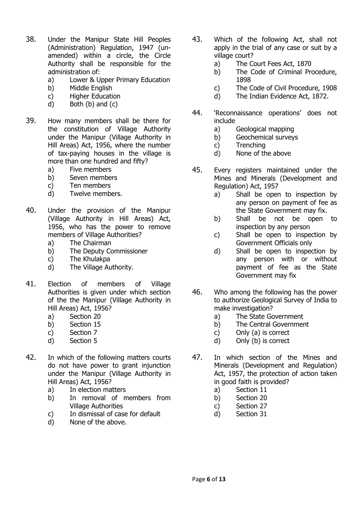- 38. Under the Manipur State Hill Peoples (Administration) Regulation, 1947 (unamended) within a circle, the Circle Authority shall be responsible for the administration of:
	- a) Lower & Upper Primary Education
	- b) Middle English
	- c) Higher Education
	- d) Both (b) and (c)
- 39. How many members shall be there for the constitution of Village Authority under the Manipur (Village Authority in Hill Areas) Act, 1956, where the number of tax-paying houses in the village is more than one hundred and fifty?
	- a) Five members
	- b) Seven members
	- c) Ten members
	- d) Twelve members.
- 40. Under the provision of the Manipur (Village Authority in Hill Areas) Act, 1956, who has the power to remove members of Village Authorities?
	- a) The Chairman
	- b) The Deputy Commissioner
	- c) The Khulakpa
	- d) The Village Authority.
- 41. Election of members of Village Authorities is given under which section of the the Manipur (Village Authority in Hill Areas) Act, 1956?
	- a) Section 20
	- b) Section 15
	- c) Section 7
	- d) Section 5
- 42. In which of the following matters courts do not have power to grant injunction under the Manipur (Village Authority in Hill Areas) Act, 1956?
	- a) In election matters
	- b) In removal of members from Village Authorities
	- c) In dismissal of case for default
	- d) None of the above.
- 43. Which of the following Act, shall not apply in the trial of any case or suit by a village court?
	- a) The Court Fees Act, 1870
	- b) The Code of Criminal Procedure, 1898
	- c) The Code of Civil Procedure, 1908
	- d) The Indian Evidence Act, 1872.
- 44. 'Reconnaissance operations' does not include
	- a) Geological mapping
	- b) Geochemical surveys
	- c) Trenching
	- d) None of the above
- 45. Every registers maintained under the Mines and Minerals (Development and Regulation) Act, 1957
	- a) Shall be open to inspection by any person on payment of fee as the State Government may fix.
	- b) Shall be not be open to inspection by any person
	- c) Shall be open to inspection by Government Officials only
	- d) Shall be open to inspection by any person with or without payment of fee as the State Government may fix
- 46. Who among the following has the power to authorize Geological Survey of India to make investigation?
	- a) The State Government
	- b) The Central Government
	- c) Only (a) is correct
	- d) Only (b) is correct
- 47. In which section of the Mines and Minerals (Development and Regulation) Act, 1957, the protection of action taken in good faith is provided?
	- a) Section 11
	- b) Section 20
	- c) Section 27
	- d) Section 31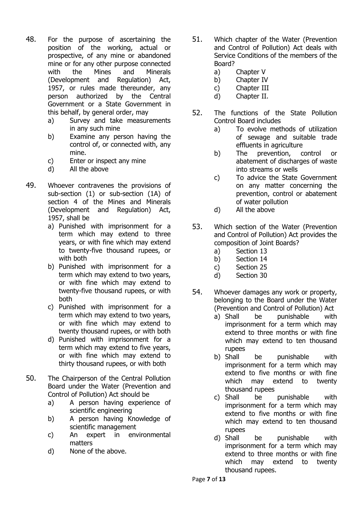- 48. For the purpose of ascertaining the position of the working, actual or prospective, of any mine or abandoned mine or for any other purpose connected with the Mines and Minerals (Development and Regulation) Act, 1957, or rules made thereunder, any person authorized by the Central Government or a State Government in this behalf, by general order, may
	- a) Survey and take measurements in any such mine
	- b) Examine any person having the control of, or connected with, any mine.
	- c) Enter or inspect any mine
	- d) All the above
- 49. Whoever contravenes the provisions of sub-section (1) or sub-section (1A) of section 4 of the Mines and Minerals (Development and Regulation) Act, 1957, shall be
	- a) Punished with imprisonment for a term which may extend to three years, or with fine which may extend to twenty-five thousand rupees, or with both
	- b) Punished with imprisonment for a term which may extend to two years, or with fine which may extend to twenty-five thousand rupees, or with both
	- c) Punished with imprisonment for a term which may extend to two years, or with fine which may extend to twenty thousand rupees, or with both
	- d) Punished with imprisonment for a term which may extend to five years, or with fine which may extend to thirty thousand rupees, or with both
- 50. The Chairperson of the Central Pollution Board under the Water (Prevention and Control of Pollution) Act should be
	- a) A person having experience of scientific engineering
	- b) A person having Knowledge of scientific management
	- c) An expert in environmental matters
	- d) None of the above.
- 51. Which chapter of the Water (Prevention and Control of Pollution) Act deals with Service Conditions of the members of the Board?
	- a) Chapter V
	- b) Chapter IV
	- c) Chapter III
	- d) Chapter II.
- 52. The functions of the State Pollution Control Board includes
	- a) To evolve methods of utilization of sewage and suitable trade effluents in agriculture
	- b) The prevention, control or abatement of discharges of waste into streams or wells
	- c) To advice the State Government on any matter concerning the prevention, control or abatement of water pollution
	- d) All the above
- 53. Which section of the Water (Prevention and Control of Pollution) Act provides the composition of Joint Boards?
	- a) Section 13
	- b) Section 14
	- c) Section 25
	- d) Section 30
- 54. Whoever damages any work or property, belonging to the Board under the Water (Prevention and Control of Pollution) Act
	- a) Shall be punishable with imprisonment for a term which may extend to three months or with fine which may extend to ten thousand rupees
	- b) Shall be punishable with imprisonment for a term which may extend to five months or with fine which may extend to twenty thousand rupees
	- c) Shall be punishable with imprisonment for a term which may extend to five months or with fine which may extend to ten thousand rupees
	- d) Shall be punishable with imprisonment for a term which may extend to three months or with fine which may extend to twenty thousand rupees.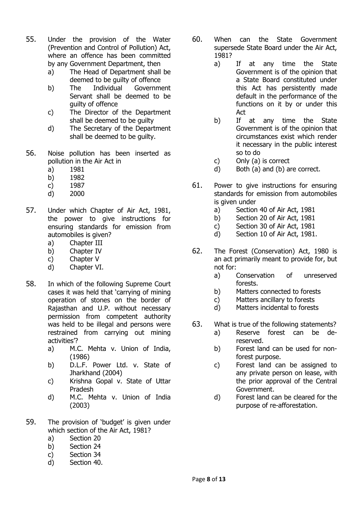- 55. Under the provision of the Water (Prevention and Control of Pollution) Act, where an offence has been committed by any Government Department, then
	- a) The Head of Department shall be deemed to be guilty of offence
	- b) The Individual Government Servant shall be deemed to be guilty of offence
	- c) The Director of the Department shall be deemed to be guilty
	- d) The Secretary of the Department shall be deemed to be guilty.
- 56. Noise pollution has been inserted as pollution in the Air Act in
	- a) 1981
	- b) 1982
	- c) 1987
	- d) 2000
- 57. Under which Chapter of Air Act, 1981, the power to give instructions for ensuring standards for emission from automobiles is given?
	- a) Chapter III
	- b) Chapter IV
	- c) Chapter V
	- d) Chapter VI.
- 58. In which of the following Supreme Court cases it was held that 'carrying of mining operation of stones on the border of Rajasthan and U.P. without necessary permission from competent authority was held to be illegal and persons were restrained from carrying out mining activities'?
	- a) M.C. Mehta v. Union of India, (1986)
	- b) D.L.F. Power Ltd. v. State of Jharkhand (2004)
	- c) Krishna Gopal v. State of Uttar Pradesh
	- d) M.C. Mehta v. Union of India (2003)
- 59. The provision of 'budget' is given under which section of the Air Act, 1981?
	- a) Section 20
	- b) Section 24
	- c) Section 34
	- d) Section 40.
- 60. When can the State Government supersede State Board under the Air Act, 1981?
	- a) If at any time the State Government is of the opinion that a State Board constituted under this Act has persistently made default in the performance of the functions on it by or under this Act
	- b) If at any time the State Government is of the opinion that circumstances exist which render it necessary in the public interest so to do
	- c) Only (a) is correct
	- d) Both (a) and (b) are correct.
- 61. Power to give instructions for ensuring standards for emission from automobiles is given under
	- a) Section 40 of Air Act, 1981
	- b) Section 20 of Air Act, 1981
	- c) Section 30 of Air Act, 1981
	- d) Section 10 of Air Act, 1981.
- 62. The Forest (Conservation) Act, 1980 is an act primarily meant to provide for, but not for:
	- a) Conservation of unreserved forests.
	- b) Matters connected to forests
	- c) Matters ancillary to forests
	- d) Matters incidental to forests
- 63. What is true of the following statements?
	- a) Reserve forest can be dereserved.
	- b) Forest land can be used for nonforest purpose.
	- c) Forest land can be assigned to any private person on lease, with the prior approval of the Central Government.
	- d) Forest land can be cleared for the purpose of re-afforestation.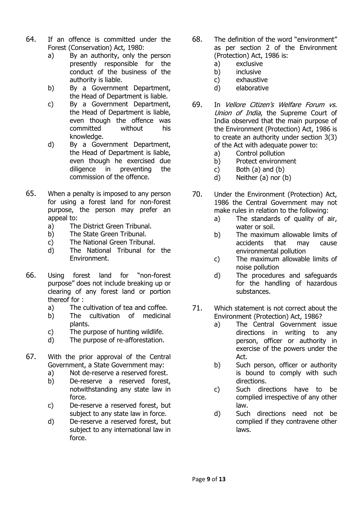- 64. If an offence is committed under the Forest (Conservation) Act, 1980:
	- a) By an authority, only the person presently responsible for the conduct of the business of the authority is liable.
	- b) By a Government Department, the Head of Department is liable.
	- c) By a Government Department, the Head of Department is liable, even though the offence was committed without his knowledge.
	- d) By a Government Department, the Head of Department is liable, even though he exercised due diligence in preventing the commission of the offence.
- 65. When a penalty is imposed to any person for using a forest land for non-forest purpose, the person may prefer an appeal to:
	- a) The District Green Tribunal.
	- b) The State Green Tribunal.
	- c) The National Green Tribunal.
	- d) The National Tribunal for the Environment.
- 66. Using forest land for "non-forest purpose" does not include breaking up or clearing of any forest land or portion thereof for :
	- a) The cultivation of tea and coffee.
	- b) The cultivation of medicinal plants.
	- c) The purpose of hunting wildlife.
	- d) The purpose of re-afforestation.
- 67. With the prior approval of the Central Government, a State Government may:
	- a) Not de-reserve a reserved forest.
	- b) De-reserve a reserved forest, notwithstanding any state law in force.
	- c) De-reserve a reserved forest, but subject to any state law in force.
	- d) De-reserve a reserved forest, but subject to any international law in force.
- 68. The definition of the word "environment" as per section 2 of the Environment (Protection) Act, 1986 is:
	- a) exclusive
	- b) inclusive
	- c) exhaustive
	- d) elaborative
- 69. In Vellore Citizen's Welfare Forum vs. Union of India, the Supreme Court of India observed that the main purpose of the Environment (Protection) Act, 1986 is to create an authority under section 3(3) of the Act with adequate power to:
	- a) Control pollution
	- b) Protect environment
	- c) Both  $(a)$  and  $(b)$
	- d) Neither (a) nor (b)
- 70. Under the Environment (Protection) Act, 1986 the Central Government may not make rules in relation to the following:
	- a) The standards of quality of air, water or soil.
	- b) The maximum allowable limits of accidents that may cause environmental pollution
	- c) The maximum allowable limits of noise pollution
	- d) The procedures and safeguards for the handling of hazardous substances.
- 71. Which statement is not correct about the Environment (Protection) Act, 1986?
	- a) The Central Government issue directions in writing to any person, officer or authority in exercise of the powers under the Act.
	- b) Such person, officer or authority is bound to comply with such directions.
	- c) Such directions have to be complied irrespective of any other law.
	- d) Such directions need not be complied if they contravene other laws.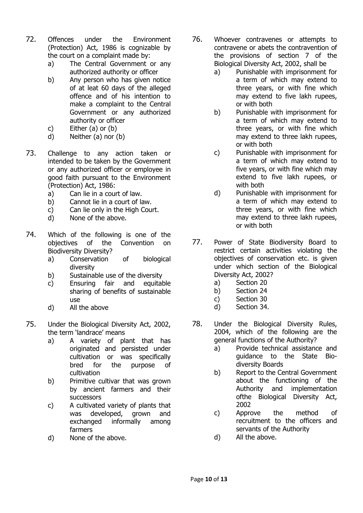- 72. Offences under the Environment (Protection) Act, 1986 is cognizable by the court on a complaint made by:
	- a) The Central Government or any authorized authority or officer
	- b) Any person who has given notice of at leat 60 days of the alleged offence and of his intention to make a complaint to the Central Government or any authorized authority or officer
	- c) Either (a) or (b)
	- d) Neither (a) nor (b)
- 73. Challenge to any action taken or intended to be taken by the Government or any authorized officer or employee in good faith pursuant to the Environment (Protection) Act, 1986:
	- a) Can lie in a court of law.
	- b) Cannot lie in a court of law.
	- c) Can lie only in the High Court.
	- d) None of the above.
- 74. Which of the following is one of the objectives of the Convention on Biodiversity Diversity?
	- a) Conservation of biological diversity
	- b) Sustainable use of the diversity
	- c) Ensuring fair and equitable sharing of benefits of sustainable use
	- d) All the above
- 75. Under the Biological Diversity Act, 2002, the term 'landrace' means
	- a) A variety of plant that has originated and persisted under cultivation or was specifically bred for the purpose of cultivation
	- b) Primitive cultivar that was grown by ancient farmers and their successors
	- c) A cultivated variety of plants that was developed, grown and exchanged informally among farmers
	- d) None of the above.
- 76. Whoever contravenes or attempts to contravene or abets the contravention of the provisions of section 7 of the Biological Diversity Act, 2002, shall be
	- a) Punishable with imprisonment for a term of which may extend to three years, or with fine which may extend to five lakh rupees, or with both
	- b) Punishable with imprisonment for a term of which may extend to three years, or with fine which may extend to three lakh rupees, or with both
	- c) Punishable with imprisonment for a term of which may extend to five years, or with fine which may extend to five lakh rupees, or with both
	- d) Punishable with imprisonment for a term of which may extend to three years, or with fine which may extend to three lakh rupees, or with both
- 77. Power of State Biodiversity Board to restrict certain activities violating the objectives of conservation etc. is given under which section of the Biological Diversity Act, 2002?
	- a) Section 20
	- b) Section 24
	- c) Section 30
	- d) Section 34.
- 78. Under the Biological Diversity Rules, 2004, which of the following are the general functions of the Authority?
	- a) Provide technical assistance and guidance to the State Biodiversity Boards
	- b) Report to the Central Government about the functioning of the Authority and implementation ofthe Biological Diversity Act, 2002
	- c) Approve the method of recruitment to the officers and servants of the Authority
	- d) All the above.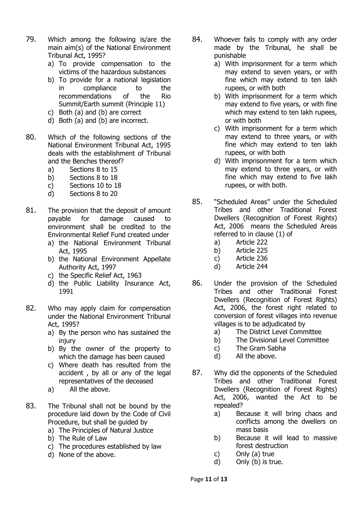- 79. Which among the following is/are the main aim(s) of the National Environment Tribunal Act, 1995?
	- a) To provide compensation to the victims of the hazardous substances
	- b) To provide for a national legislation in compliance to the recommendations of the Rio Summit/Earth summit (Principle 11)
	- c) Both (a) and (b) are correct
	- d) Both (a) and (b) are incorrect.
- 80. Which of the following sections of the National Environment Tribunal Act, 1995 deals with the establishment of Tribunal and the Benches thereof?
	- a) Sections 8 to 15
	- b) Sections 8 to 18
	- c) Sections 10 to 18
	- d) Sections 8 to 20
- 81. The provision that the deposit of amount payable for damage caused to environment shall be credited to the Environmental Relief Fund created under
	- a) the National Environment Tribunal Act, 1995
	- b) the National Environment Appellate Authority Act, 1997
	- c) the Specific Relief Act, 1963
	- d) the Public Liability Insurance Act, 1991
- 82. Who may apply claim for compensation under the National Environment Tribunal Act, 1995?
	- a) By the person who has sustained the injury
	- b) By the owner of the property to which the damage has been caused
	- c) Where death has resulted from the accident , by all or any of the legal representatives of the deceased
	- a) All the above.
- 83. The Tribunal shall not be bound by the procedure laid down by the Code of Civil Procedure, but shall be guided by
	- a) The Principles of Natural Justice
	- b) The Rule of Law
	- c) The procedures established by law
	- d) None of the above.
- 84. Whoever fails to comply with any order made by the Tribunal, he shall be punishable
	- a) With imprisonment for a term which may extend to seven years, or with fine which may extend to ten lakh rupees, or with both
	- b) With imprisonment for a term which may extend to five years, or with fine which may extend to ten lakh rupees, or with both
	- c) With imprisonment for a term which may extend to three years, or with fine which may extend to ten lakh rupees, or with both
	- d) With imprisonment for a term which may extend to three years, or with fine which may extend to five lakh rupees, or with both.
- 85. "Scheduled Areas" under the Scheduled Tribes and other Traditional Forest Dwellers (Recognition of Forest Rights) Act, 2006 means the Scheduled Areas referred to in clause (1) of
	- a) Article 222
	- b) Article 225
	- c) Article 236
	- d) Article 244
- 86. Under the provision of the Scheduled Tribes and other Traditional Forest Dwellers (Recognition of Forest Rights) Act, 2006, the forest right related to conversion of forest villages into revenue villages is to be adjudicated by
	- a) The District Level Committee
	- b) The Divisional Level Committee
	- c) The Gram Sabha
	- d) All the above.
- 87. Why did the opponents of the Scheduled Tribes and other Traditional Forest Dwellers (Recognition of Forest Rights) Act, 2006, wanted the Act to be repealed?
	- a) Because it will bring chaos and conflicts among the dwellers on mass basis
	- b) Because it will lead to massive forest destruction
	- c) Only (a) true
	- d) Only (b) is true.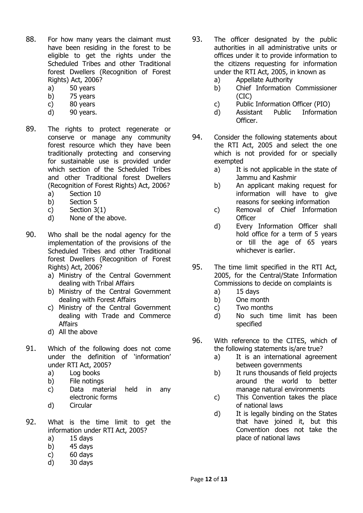- 88. For how many years the claimant must have been residing in the forest to be eligible to get the rights under the Scheduled Tribes and other Traditional forest Dwellers (Recognition of Forest Rights) Act, 2006?
	- a) 50 years
	- b) 75 years
	- c) 80 years
	- d) 90 years.
- 89. The rights to protect regenerate or conserve or manage any community forest resource which they have been traditionally protecting and conserving for sustainable use is provided under which section of the Scheduled Tribes and other Traditional forest Dwellers (Recognition of Forest Rights) Act, 2006?
	- a) Section 10
	- b) Section 5
	- c) Section 3(1)
	- d) None of the above.
- 90. Who shall be the nodal agency for the implementation of the provisions of the Scheduled Tribes and other Traditional forest Dwellers (Recognition of Forest Rights) Act, 2006?
	- a) Ministry of the Central Government dealing with Tribal Affairs
	- b) Ministry of the Central Government dealing with Forest Affairs
	- c) Ministry of the Central Government dealing with Trade and Commerce **Affairs**
	- d) All the above
- 91. Which of the following does not come under the definition of 'information' under RTI Act, 2005?
	- a) Log books
	- b) File notings
	- c) Data material held in any electronic forms
	- d) Circular
- 92. What is the time limit to get the information under RTI Act, 2005?
	- a) 15 days
	- b)  $45$  days
	- c) 60 days
	- d) 30 days
- 93. The officer designated by the public authorities in all administrative units or offices under it to provide information to the citizens requesting for information under the RTI Act, 2005, in known as
	- a) Appellate Authority
	- b) Chief Information Commissioner (CIC)
	- c) Public Information Officer (PIO)
	- d) Assistant Public Information Officer.
- 94. Consider the following statements about the RTI Act, 2005 and select the one which is not provided for or specially exempted
	- a) It is not applicable in the state of Jammu and Kashmir
	- b) An applicant making request for information will have to give reasons for seeking information
	- c) Removal of Chief Information **Officer**
	- d) Every Information Officer shall hold office for a term of 5 years or till the age of 65 years whichever is earlier.
- 95. The time limit specified in the RTI Act, 2005, for the Central/State Information Commissions to decide on complaints is
	- a) 15 days
	- b) One month
	- c) Two months
	- d) No such time limit has been specified
- 96. With reference to the CITES, which of the following statements is/are true?
	- a) It is an international agreement between governments
	- b) It runs thousands of field projects around the world to better manage natural environments
	- c) This Convention takes the place of national laws
	- d) It is legally binding on the States that have joined it, but this Convention does not take the place of national laws